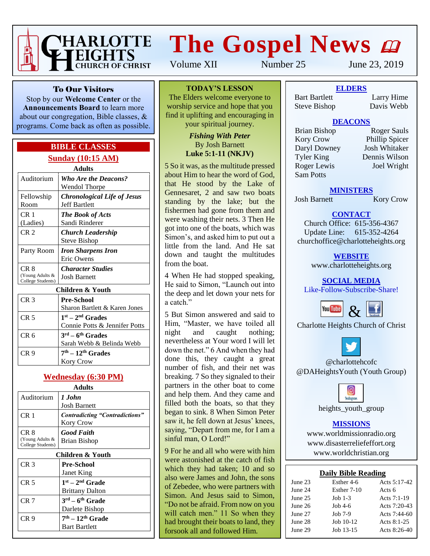

# **The Gospel News**

Volume XII Number 25 June 23, 2019

To Our Visitors

Stop by our **Welcome Center** or the **Announcements Board** to learn more about our congregation, Bible classes, & programs. Come back as often as possible.

### **BIBLE CLASSES Sunday (10:15 AM)**

| Adults                                       |                                                                     |  |  |  |  |
|----------------------------------------------|---------------------------------------------------------------------|--|--|--|--|
| Auditorium                                   | <b>Who Are the Deacons?</b><br>Wendol Thorpe                        |  |  |  |  |
| Fellowship<br>Room                           | <b>Chronological Life of Jesus</b><br><b>Jeff Bartlett</b>          |  |  |  |  |
| CR <sub>1</sub><br>(Ladies)                  | <b>The Book of Acts</b><br>Sandi Rinderer                           |  |  |  |  |
| CR <sub>2</sub>                              | Church Leadership<br>Steve Bishop                                   |  |  |  |  |
| Party Room                                   | <b>Iron Sharpens Iron</b><br>Eric Owens                             |  |  |  |  |
| CR 8<br>(Young Adults &<br>College Students) | <b>Character Studies</b><br><b>Josh Barnett</b>                     |  |  |  |  |
| Children & Youth                             |                                                                     |  |  |  |  |
| CR <sub>3</sub>                              | <b>Pre-School</b><br>Sharon Bartlett & Karen Jones                  |  |  |  |  |
| CR <sub>5</sub>                              | $1st - 2nd$ Grades<br>Connie Potts & Jennifer Potts                 |  |  |  |  |
| CR <sub>6</sub>                              | $3^{\text{rd}} - 6^{\text{th}}$ Grades<br>Sarah Webb & Belinda Webb |  |  |  |  |
| CR 9                                         | $7th - 12th$ Grades                                                 |  |  |  |  |

#### **Wednesday (6:30 PM) Adults**

Kory Crow

| Adults                                       |                                                           |  |  |  |  |
|----------------------------------------------|-----------------------------------------------------------|--|--|--|--|
| Auditorium                                   | 1 John<br><b>Josh Barnett</b>                             |  |  |  |  |
| CR <sub>1</sub>                              | <b>Contradicting "Contradictions"</b><br><b>Kory Crow</b> |  |  |  |  |
| CR 8<br>(Young Adults &<br>College Students) | <b>Good Faith</b><br><b>Brian Bishop</b>                  |  |  |  |  |
| Children & Youth                             |                                                           |  |  |  |  |
| CR <sub>3</sub>                              | <b>Pre-School</b><br>Janet King                           |  |  |  |  |
| CR <sub>5</sub>                              | $1st - 2nd$ Grade<br><b>Brittany Dalton</b>               |  |  |  |  |
| CR <sub>7</sub>                              | $3^{\text{rd}} - 6^{\text{th}}$ Grade<br>Darlete Bishop   |  |  |  |  |
| CR <sub>9</sub>                              | $7th - 12th$ Grade<br>Bart Bartlett                       |  |  |  |  |

**TODAY'S LESSON**

The Elders welcome everyone to worship service and hope that you find it uplifting and encouraging in your spiritual journey.

#### *Fishing With Peter* By Josh Barnett **Luke 5:1-11 (NKJV)**

5 So it was, as the multitude pressed about Him to hear the word of God, that He stood by the Lake of Gennesaret, 2 and saw two boats standing by the lake; but the fishermen had gone from them and were washing their nets. 3 Then He got into one of the boats, which was Simon's, and asked him to put out a little from the land. And He sat down and taught the multitudes from the boat.

4 When He had stopped speaking, He said to Simon, "Launch out into the deep and let down your nets for a catch."

5 But Simon answered and said to Him, "Master, we have toiled all night and caught nothing; nevertheless at Your word I will let down the net." 6 And when they had done this, they caught a great number of fish, and their net was breaking. 7 So they signaled to their partners in the other boat to come and help them. And they came and filled both the boats, so that they began to sink. 8 When Simon Peter saw it, he fell down at Jesus' knees, saying, "Depart from me, for I am a sinful man, O Lord!"

9 For he and all who were with him were astonished at the catch of fish which they had taken; 10 and so also were James and John, the sons of Zebedee, who were partners with Simon. And Jesus said to Simon, "Do not be afraid. From now on you will catch men." 11 So when they had brought their boats to land, they forsook all and followed Him.

**ELDERS** Bart Bartlett Larry Hime Steve Bishop Davis Webb

### **DEACONS**

Kory Crow Phillip Spicer<br>
Daryl Downey Josh Whitaker Daryl Downey Tyler King Dennis Wilson Roger Lewis Joel Wright Sam Potts

Brian Bishop Roger Sauls

#### **MINISTERS**

Josh Barnett Kory Crow

## **CONTACT**

Church Office: 615-356-4367 Update Line: 615-352-4264 churchoffice@charlotteheights.org

> **WEBSITE** [www.charlotteheights.org](http://www.charlotteheights.org/)

**SOCIAL MEDIA** Like-Follow-Subscribe-Share!



Charlotte Heights Church of Christ



@charlottehcofc @DAHeightsYouth (Youth Group)



heights\_youth\_group

#### **MISSIONS**

www.worldmissionradio.org [www.disasterreliefeffort.org](http://www.disasterreliefeffort.org/) [www.worldchristian.org](http://www.worldchristian.org/)

| <b>Daily Bible Reading</b> |
|----------------------------|
|----------------------------|

| June 23 | Esther 4-6  | Acts $5:17-42$ |
|---------|-------------|----------------|
| June 24 | Esther 7-10 | Acts 6         |
| June 25 | Job $1-3$   | Acts 7:1-19    |
| June 26 | Job $4-6$   | Acts $7:20-43$ |
| June 27 | Job $7-9$   | Acts $7:44-60$ |
| June 28 | Job $10-12$ | Acts 8:1-25    |
| June 29 | Job 13-15   | Acts $8:26-40$ |
|         |             |                |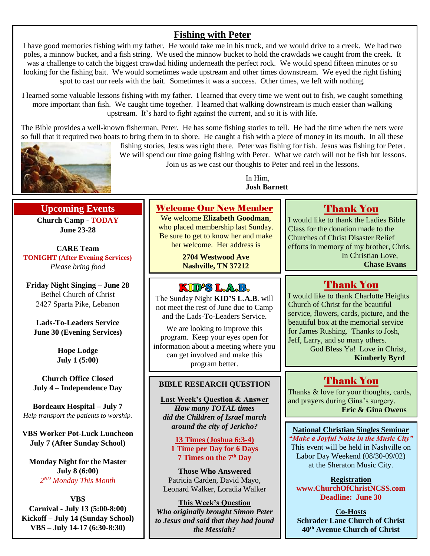## **Fishing with Peter**

I have good memories fishing with my father. He would take me in his truck, and we would drive to a creek. We had two poles, a minnow bucket, and a fish string. We used the minnow bucket to hold the crawdads we caught from the creek. It was a challenge to catch the biggest crawdad hiding underneath the perfect rock. We would spend fifteen minutes or so looking for the fishing bait. We would sometimes wade upstream and other times downstream. We eyed the right fishing spot to cast our reels with the bait. Sometimes it was a success. Other times, we left with nothing.

I learned some valuable lessons fishing with my father. I learned that every time we went out to fish, we caught something more important than fish. We caught time together. I learned that walking downstream is much easier than walking upstream. It's hard to fight against the current, and so it is with life.

The Bible provides a well-known fisherman, Peter. He has some fishing stories to tell. He had the time when the nets were so full that it required two boats to bring them in to shore. He caught a fish with a piece of money in its mouth. In all these

> Welcome Our New Member We welcome **Elizabeth Goodman**, who placed membership last Sunday. Be sure to get to know her and make her welcome. Her address is **2704 Westwood Ave Nashville, TN 37212**

**BIBLE RESEARCH QUESTION**

The Sunday Night **KID'S L.A.B**. will not meet the rest of June due to Camp and the Lads-To-Leaders Service. We are looking to improve this program. Keep your eyes open for information about a meeting where you can get involved and make this program better.

KUD'S LAB.

**Last Week's Question & Answer** *How many TOTAL times did the Children of Israel march around the city of Jericho?* **13 Times (Joshua 6:3-4) 1 Time per Day for 6 Days 7 Times on the 7th Day Those Who Answered** Patricia Carden, David Mayo, Leonard Walker, Loradia Walker **This Week's Question** *Who originally brought Simon Peter to Jesus and said that they had found the Messiah?*



## **Upcoming Events**

**Church Camp - TODAY June 23-28**

**CARE Team TONIGHT (After Evening Services)** *Please bring food*

**Friday Night Singing – June 28** Bethel Church of Christ 2427 Sparta Pike, Lebanon

**Lads-To-Leaders Service June 30 (Evening Services)**

> **Hope Lodge July 1 (5:00)**

**Church Office Closed July 4 – Independence Day**

**Bordeaux Hospital – July 7** *Help transport the patients to worship.*

**VBS Worker Pot-Luck Luncheon July 7 (After Sunday School)**

**Monday Night for the Master July 8 (6:00)** *2 ND Monday This Month*

**VBS Carnival - July 13 (5:00-8:00) Kickoff – July 14 (Sunday School) VBS – July 14-17 (6:30-8:30)**

fishing stories, Jesus was right there. Peter was fishing for fish. Jesus was fishing for Peter. We will spend our time going fishing with Peter. What we catch will not be fish but lessons. Join us as we cast our thoughts to Peter and reel in the lessons.

> In Him, **Josh Barnett**

## Thank You

I would like to thank the Ladies Bible Class for the donation made to the Churches of Christ Disaster Relief efforts in memory of my brother, Chris. In Christian Love, **Chase Evans**

## Thank You

I would like to thank Charlotte Heights Church of Christ for the beautiful service, flowers, cards, picture, and the beautiful box at the memorial service for James Rushing. Thanks to Josh, Jeff, Larry, and so many others.

God Bless Ya! Love in Christ, **Kimberly Byrd**

## Thank You

Thanks & love for your thoughts, cards, and prayers during Gina's surgery. **Eric & Gina Owens**

**National Christian Singles Seminar** *"Make a Joyful Noise in the Music City"* This event will be held in Nashville on Labor Day Weekend (08/30-09/02) at the Sheraton Music City.

**Registration www.ChurchOfChristNCSS.com Deadline: June 30**

**Co-Hosts Schrader Lane Church of Christ 40th Avenue Church of Christ**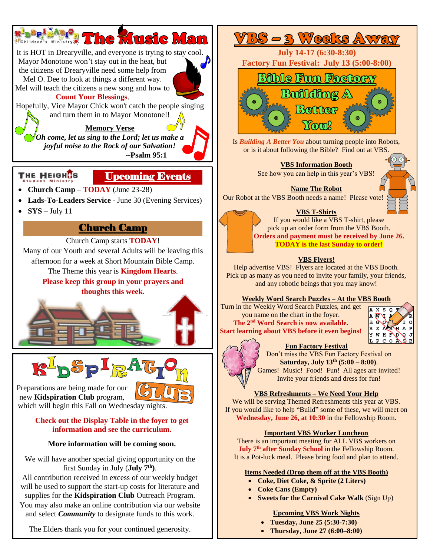

The Elders thank you for your continued generosity.

• **Thursday, June 27 (6:00–8:00)**